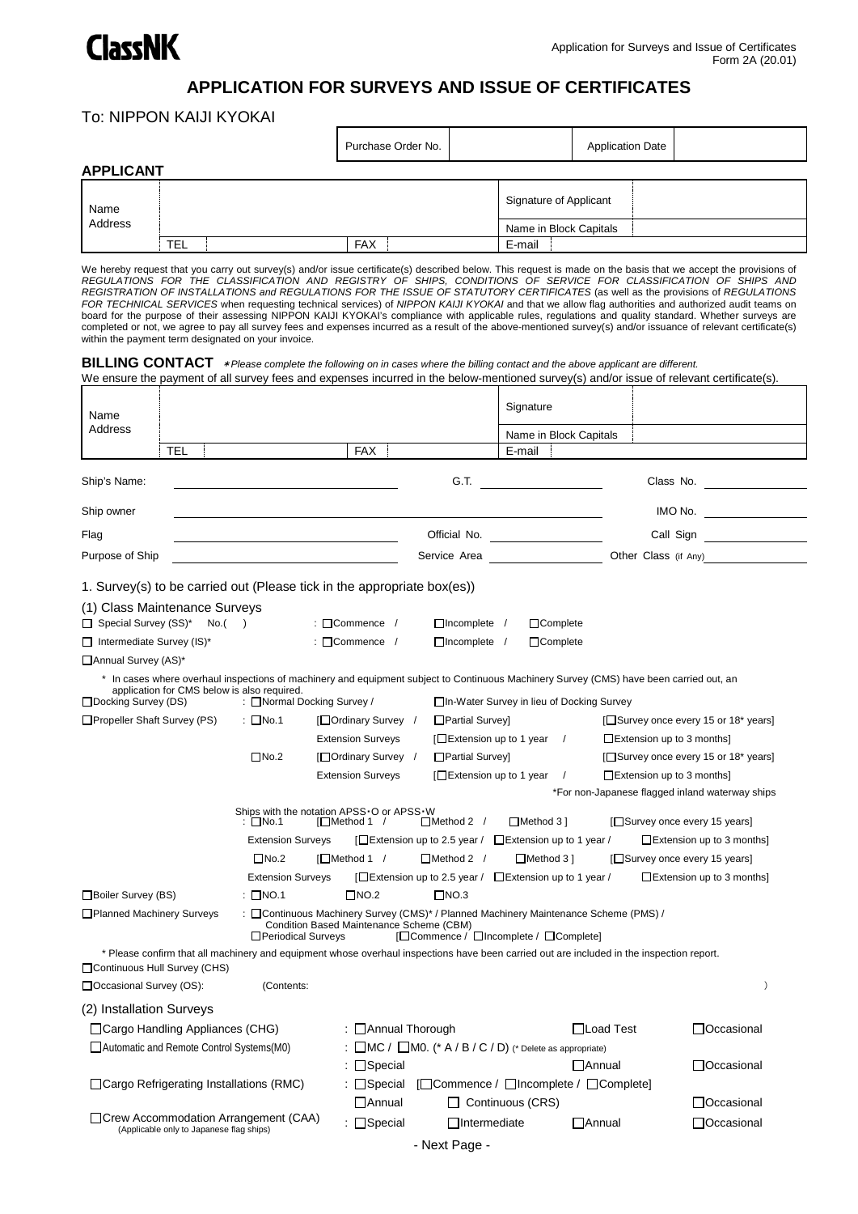

## **APPLICATION FOR SURVEYS AND ISSUE OF CERTIFICATES**

## To: NIPPON KAIJI KYOKAI

|                  |            | Purchase Order No. | <b>Application Date</b> |  |  |  |  |  |  |
|------------------|------------|--------------------|-------------------------|--|--|--|--|--|--|
| <b>APPLICANT</b> |            |                    |                         |  |  |  |  |  |  |
| Name<br>Address  |            |                    | Signature of Applicant  |  |  |  |  |  |  |
|                  |            |                    | Name in Block Capitals  |  |  |  |  |  |  |
|                  | <b>TEL</b> | <b>FAX</b>         | E-mail                  |  |  |  |  |  |  |

We hereby request that you carry out survey(s) and/or issue certificate(s) described below. This request is made on the basis that we accept the provisions of REGULATIONS FOR THE CLASSIFICATION AND REGISTRY OF SHIPS, CONDITIONS OF SERVICE FOR CLASSIFICATION OF SHIPS AND<br>REGISTRATION OF INSTALLATIONS and REGULATIONS FOR THE ISSUE OF STATUTORY CERTIFICATES (as well *FOR TECHNICAL SERVICES* when requesting technical services) of *NIPPON KAIJI KYOKAI* and that we allow flag authorities and authorized audit teams on<br>board for the purpose of their assessing NIPPON KAIJI KYOKAI's complian completed or not, we agree to pay all survey fees and expenses incurred as a result of the above-mentioned survey(s) and/or issuance of relevant certificate(s) within the payment term designated on your invoice.

## **BILLING CONTACT** \**Please complete the following on in cases where the billing contact and the above applicant are different.* We ensure the payment of all survey fees and expenses incurred in the below-mentioned survey(s) and/or issue of relevant certificate(s).

| Name                                                                                                                                            |     |                                                                                                                                                                                        |                                                                                                                                 |  |                                                                      | Signature               |                                  |  |                                                 |           |
|-------------------------------------------------------------------------------------------------------------------------------------------------|-----|----------------------------------------------------------------------------------------------------------------------------------------------------------------------------------------|---------------------------------------------------------------------------------------------------------------------------------|--|----------------------------------------------------------------------|-------------------------|----------------------------------|--|-------------------------------------------------|-----------|
| Address                                                                                                                                         |     |                                                                                                                                                                                        |                                                                                                                                 |  |                                                                      |                         | Name in Block Capitals           |  |                                                 |           |
|                                                                                                                                                 | TEL |                                                                                                                                                                                        | <b>FAX</b>                                                                                                                      |  |                                                                      | E-mail                  |                                  |  |                                                 |           |
| Ship's Name:                                                                                                                                    |     |                                                                                                                                                                                        |                                                                                                                                 |  | G.T.                                                                 |                         |                                  |  | Class No.                                       |           |
| Ship owner                                                                                                                                      |     |                                                                                                                                                                                        |                                                                                                                                 |  |                                                                      |                         |                                  |  | IMO No. <u>___________________</u>              |           |
| Flag                                                                                                                                            |     |                                                                                                                                                                                        |                                                                                                                                 |  | Official No.                                                         |                         |                                  |  | Call Sign                                       |           |
| Purpose of Ship                                                                                                                                 |     |                                                                                                                                                                                        |                                                                                                                                 |  | Service Area                                                         |                         |                                  |  | Other Class (if Any)                            |           |
|                                                                                                                                                 |     | 1. Survey(s) to be carried out (Please tick in the appropriate box(es))                                                                                                                |                                                                                                                                 |  |                                                                      |                         |                                  |  |                                                 |           |
| (1) Class Maintenance Surveys                                                                                                                   |     |                                                                                                                                                                                        |                                                                                                                                 |  |                                                                      |                         |                                  |  |                                                 |           |
| □ Special Survey (SS)* No.()                                                                                                                    |     |                                                                                                                                                                                        | $\therefore$ Commence /                                                                                                         |  | $\Box$ Incomplete /                                                  |                         | $\Box$ Complete                  |  |                                                 |           |
| $\Box$ Intermediate Survey (IS)*                                                                                                                |     |                                                                                                                                                                                        | $\blacksquare$ Commence /                                                                                                       |  | $\Box$ Incomplete /                                                  |                         | □Complete                        |  |                                                 |           |
| □ Annual Survey (AS)*                                                                                                                           |     |                                                                                                                                                                                        |                                                                                                                                 |  |                                                                      |                         |                                  |  |                                                 |           |
|                                                                                                                                                 |     | * In cases where overhaul inspections of machinery and equipment subject to Continuous Machinery Survey (CMS) have been carried out, an<br>application for CMS below is also required. |                                                                                                                                 |  |                                                                      |                         |                                  |  |                                                 |           |
| □Docking Survey (DS)                                                                                                                            |     | : Mormal Docking Survey /                                                                                                                                                              |                                                                                                                                 |  | □In-Water Survey in lieu of Docking Survey                           |                         |                                  |  |                                                 |           |
| □ Propeller Shaft Survey (PS)                                                                                                                   |     | $\therefore$ No.1                                                                                                                                                                      | [□ Ordinary Survey /                                                                                                            |  | □ Partial Surveyl                                                    |                         |                                  |  | [□ Survey once every 15 or 18* years]           |           |
|                                                                                                                                                 |     |                                                                                                                                                                                        | <b>Extension Surveys</b>                                                                                                        |  | [□ Extension up to 1 year                                            |                         | $\prime$                         |  | $\Box$ Extension up to 3 months]                |           |
|                                                                                                                                                 |     | $\square$ No.2                                                                                                                                                                         | [□ Ordinary Survey /                                                                                                            |  | □Partial Surveyl                                                     |                         |                                  |  | [□ Survey once every 15 or 18* years]           |           |
|                                                                                                                                                 |     |                                                                                                                                                                                        | <b>Extension Surveys</b>                                                                                                        |  | $\Box$ Extension up to 1 year                                        |                         | $\sqrt{ }$                       |  | $\Box$ Extension up to 3 months]                |           |
|                                                                                                                                                 |     |                                                                                                                                                                                        |                                                                                                                                 |  |                                                                      |                         |                                  |  | *For non-Japanese flagged inland waterway ships |           |
| Ships with the notation APSS O or APSS W<br>: □No.1<br>[□Method 1 /<br>$\Box$ Method 2 /<br>$\Box$ Method 3 ]<br>[□ Survey once every 15 years] |     |                                                                                                                                                                                        |                                                                                                                                 |  |                                                                      |                         |                                  |  |                                                 |           |
| $\square$ No.2                                                                                                                                  |     | <b>Extension Surveys</b>                                                                                                                                                               | $\Box$ Extension up to 2.5 year / $\Box$ Extension up to 1 year /                                                               |  |                                                                      |                         | $\Box$ Extension up to 3 months] |  |                                                 |           |
|                                                                                                                                                 |     |                                                                                                                                                                                        | $\Box$ Method 1 /<br>$\Box$ Method 2 /<br>$\Box$ Method 3 ]                                                                     |  |                                                                      |                         | [□ Survey once every 15 years]   |  |                                                 |           |
|                                                                                                                                                 |     | <b>Extension Surveys</b>                                                                                                                                                               |                                                                                                                                 |  | [□ Extension up to 2.5 year / □ Extension up to 1 year /             |                         |                                  |  | $\Box$ Extension up to 3 months]                |           |
| Boiler Survey (BS)                                                                                                                              |     | $\therefore$ $\Box$ NO.1                                                                                                                                                               | $\Box$ NO.2                                                                                                                     |  | $\Box$ NO.3                                                          |                         |                                  |  |                                                 |           |
| □ Planned Machinery Surveys                                                                                                                     |     | □ Periodical Surveys                                                                                                                                                                   | : Continuous Machinery Survey (CMS)* / Planned Machinery Maintenance Scheme (PMS) /<br>Condition Based Maintenance Scheme (CBM) |  | [□ Commence / □ Incomplete / □ Complete]                             |                         |                                  |  |                                                 |           |
|                                                                                                                                                 |     | * Please confirm that all machinery and equipment whose overhaul inspections have been carried out are included in the inspection report.                                              |                                                                                                                                 |  |                                                                      |                         |                                  |  |                                                 |           |
| □ Continuous Hull Survey (CHS)                                                                                                                  |     |                                                                                                                                                                                        |                                                                                                                                 |  |                                                                      |                         |                                  |  |                                                 |           |
| □ Occasional Survey (OS):                                                                                                                       |     | (Contents:                                                                                                                                                                             |                                                                                                                                 |  |                                                                      |                         |                                  |  |                                                 | $\lambda$ |
| (2) Installation Surveys                                                                                                                        |     |                                                                                                                                                                                        |                                                                                                                                 |  |                                                                      |                         |                                  |  |                                                 |           |
|                                                                                                                                                 |     | Cargo Handling Appliances (CHG)                                                                                                                                                        | : □ Annual Thorough                                                                                                             |  |                                                                      |                         | ∐Load Test                       |  | □Occasional                                     |           |
|                                                                                                                                                 |     | □ Automatic and Remote Control Systems(M0)                                                                                                                                             |                                                                                                                                 |  | : $\Box$ MC / $\Box$ MO. (* A / B / C / D) (* Delete as appropriate) |                         |                                  |  |                                                 |           |
|                                                                                                                                                 |     |                                                                                                                                                                                        | $\therefore$ Special                                                                                                            |  |                                                                      |                         | <b>MAnnual</b>                   |  | □ Occasional                                    |           |
|                                                                                                                                                 |     | □ Cargo Refrigerating Installations (RMC)                                                                                                                                              | : □Special                                                                                                                      |  | [Commence / □Incomplete / □Complete]                                 |                         |                                  |  |                                                 |           |
|                                                                                                                                                 |     |                                                                                                                                                                                        | $\Box$ Annual                                                                                                                   |  |                                                                      | $\Box$ Continuous (CRS) |                                  |  | □ Occasional                                    |           |
|                                                                                                                                                 |     | □ Crew Accommodation Arrangement (CAA)<br>(Applicable only to Japanese flag ships)                                                                                                     | : □Special                                                                                                                      |  | □Intermediate                                                        |                         | $\Box$ Annual                    |  | □Occasional                                     |           |
|                                                                                                                                                 |     |                                                                                                                                                                                        |                                                                                                                                 |  | - Next Page -                                                        |                         |                                  |  |                                                 |           |